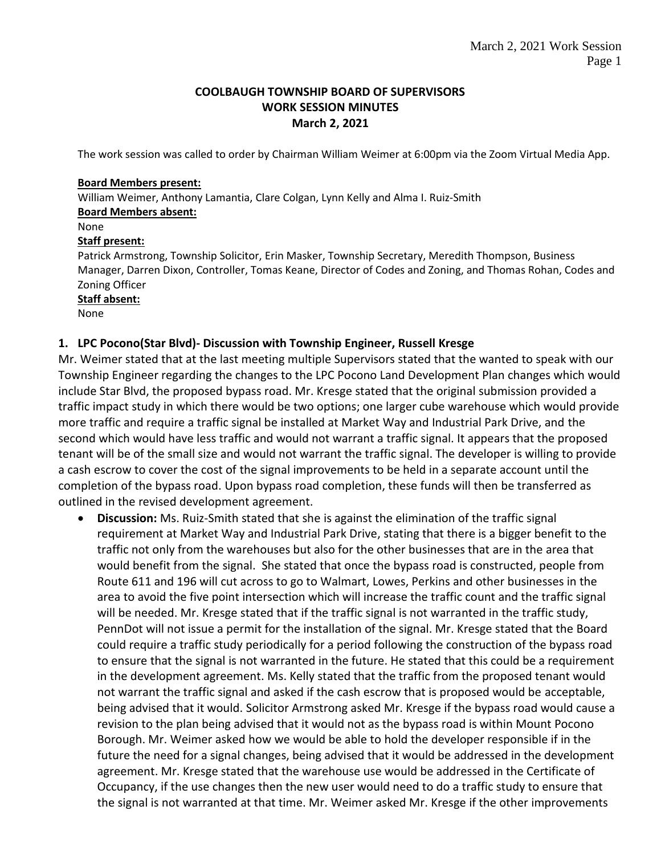### **COOLBAUGH TOWNSHIP BOARD OF SUPERVISORS WORK SESSION MINUTES March 2, 2021**

The work session was called to order by Chairman William Weimer at 6:00pm via the Zoom Virtual Media App.

#### **Board Members present:**

William Weimer, Anthony Lamantia, Clare Colgan, Lynn Kelly and Alma I. Ruiz-Smith **Board Members absent:**

## None

### **Staff present:**

Patrick Armstrong, Township Solicitor, Erin Masker, Township Secretary, Meredith Thompson, Business Manager, Darren Dixon, Controller, Tomas Keane, Director of Codes and Zoning, and Thomas Rohan, Codes and Zoning Officer

#### **Staff absent:**

None

## **1. LPC Pocono(Star Blvd)- Discussion with Township Engineer, Russell Kresge**

Mr. Weimer stated that at the last meeting multiple Supervisors stated that the wanted to speak with our Township Engineer regarding the changes to the LPC Pocono Land Development Plan changes which would include Star Blvd, the proposed bypass road. Mr. Kresge stated that the original submission provided a traffic impact study in which there would be two options; one larger cube warehouse which would provide more traffic and require a traffic signal be installed at Market Way and Industrial Park Drive, and the second which would have less traffic and would not warrant a traffic signal. It appears that the proposed tenant will be of the small size and would not warrant the traffic signal. The developer is willing to provide a cash escrow to cover the cost of the signal improvements to be held in a separate account until the completion of the bypass road. Upon bypass road completion, these funds will then be transferred as outlined in the revised development agreement.

 **Discussion:** Ms. Ruiz-Smith stated that she is against the elimination of the traffic signal requirement at Market Way and Industrial Park Drive, stating that there is a bigger benefit to the traffic not only from the warehouses but also for the other businesses that are in the area that would benefit from the signal. She stated that once the bypass road is constructed, people from Route 611 and 196 will cut across to go to Walmart, Lowes, Perkins and other businesses in the area to avoid the five point intersection which will increase the traffic count and the traffic signal will be needed. Mr. Kresge stated that if the traffic signal is not warranted in the traffic study, PennDot will not issue a permit for the installation of the signal. Mr. Kresge stated that the Board could require a traffic study periodically for a period following the construction of the bypass road to ensure that the signal is not warranted in the future. He stated that this could be a requirement in the development agreement. Ms. Kelly stated that the traffic from the proposed tenant would not warrant the traffic signal and asked if the cash escrow that is proposed would be acceptable, being advised that it would. Solicitor Armstrong asked Mr. Kresge if the bypass road would cause a revision to the plan being advised that it would not as the bypass road is within Mount Pocono Borough. Mr. Weimer asked how we would be able to hold the developer responsible if in the future the need for a signal changes, being advised that it would be addressed in the development agreement. Mr. Kresge stated that the warehouse use would be addressed in the Certificate of Occupancy, if the use changes then the new user would need to do a traffic study to ensure that the signal is not warranted at that time. Mr. Weimer asked Mr. Kresge if the other improvements